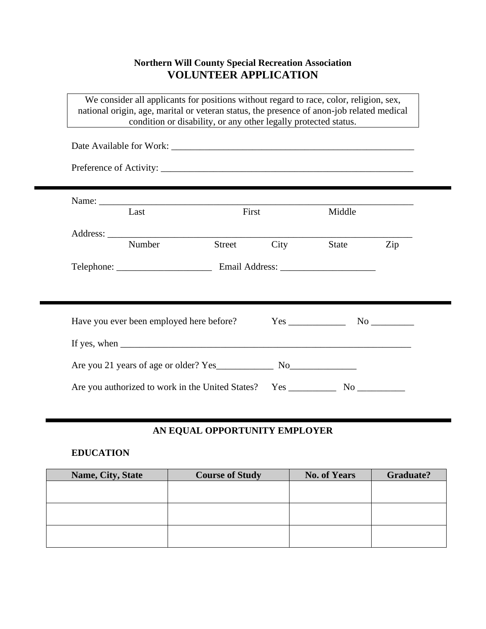## **Northern Will County Special Recreation Association VOLUNTEER APPLICATION**

We consider all applicants for positions without regard to race, color, religion, sex, national origin, age, marital or veteran status, the presence of anon-job related medical condition or disability, or any other legally protected status.

| Last   | First  |      | Middle |     |
|--------|--------|------|--------|-----|
| Number | Street | City | State  | Zip |
|        |        |      |        |     |
|        |        |      |        |     |
|        |        |      |        |     |
|        |        |      |        |     |
|        |        |      |        |     |
|        |        |      |        |     |

## **AN EQUAL OPPORTUNITY EMPLOYER**

### **EDUCATION**

| Name, City, State | <b>Course of Study</b> | <b>No. of Years</b> | <b>Graduate?</b> |
|-------------------|------------------------|---------------------|------------------|
|                   |                        |                     |                  |
|                   |                        |                     |                  |
|                   |                        |                     |                  |
|                   |                        |                     |                  |
|                   |                        |                     |                  |
|                   |                        |                     |                  |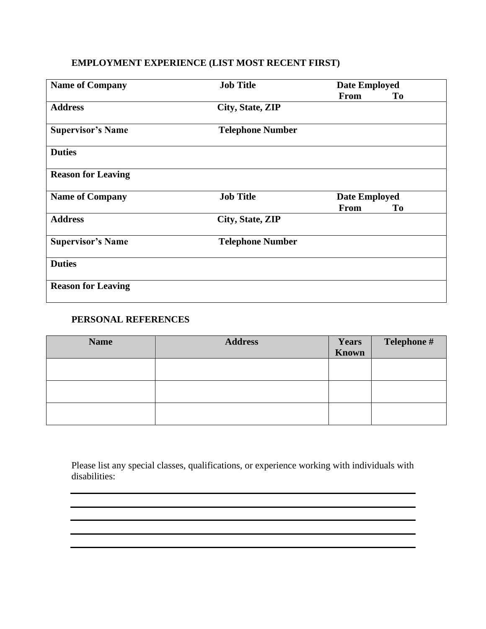# **EMPLOYMENT EXPERIENCE (LIST MOST RECENT FIRST)**

| <b>Name of Company</b>    | <b>Job Title</b>        | <b>Date Employed</b> |    |
|---------------------------|-------------------------|----------------------|----|
|                           |                         | <b>From</b>          | To |
| <b>Address</b>            | City, State, ZIP        |                      |    |
| <b>Supervisor's Name</b>  | <b>Telephone Number</b> |                      |    |
| <b>Duties</b>             |                         |                      |    |
| <b>Reason for Leaving</b> |                         |                      |    |
| <b>Name of Company</b>    | <b>Job Title</b>        | <b>Date Employed</b> |    |
|                           |                         | <b>From</b>          | To |
| <b>Address</b>            | City, State, ZIP        |                      |    |
| <b>Supervisor's Name</b>  | <b>Telephone Number</b> |                      |    |
| <b>Duties</b>             |                         |                      |    |
| <b>Reason for Leaving</b> |                         |                      |    |

### **PERSONAL REFERENCES**

| <b>Name</b> | <b>Address</b> | <b>Years</b><br><b>Known</b> | Telephone #<br><u>the company of the company of the company of the company of the company of the company of the company of the company of the company of the company of the company of the company of the company of the company of the company</u> |
|-------------|----------------|------------------------------|-----------------------------------------------------------------------------------------------------------------------------------------------------------------------------------------------------------------------------------------------------|
|             |                |                              |                                                                                                                                                                                                                                                     |
|             |                |                              |                                                                                                                                                                                                                                                     |
|             |                |                              |                                                                                                                                                                                                                                                     |

Please list any special classes, qualifications, or experience working with individuals with disabilities:

<u> 1980 - Johann Barbara, martin amerikan basar dan basa dan basar dan basar dalam basa dalam basa dan basa dan</u>